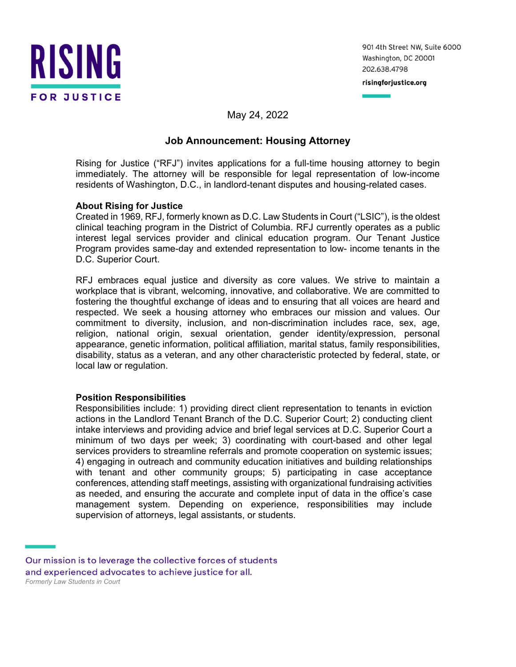

901 4th Street NW, Suite 6000 Washington, DC 20001 202.638.4798

risingforjustice.org

# May 24, 2022

# **Job Announcement: Housing Attorney**

Rising for Justice ("RFJ") invites applications for a full-time housing attorney to begin immediately. The attorney will be responsible for legal representation of low-income residents of Washington, D.C., in landlord-tenant disputes and housing-related cases.

### **About Rising for Justice**

Created in 1969, RFJ, formerly known as D.C. Law Students in Court ("LSIC"), is the oldest clinical teaching program in the District of Columbia. RFJ currently operates as a public interest legal services provider and clinical education program. Our Tenant Justice Program provides same-day and extended representation to low- income tenants in the D.C. Superior Court.

RFJ embraces equal justice and diversity as core values. We strive to maintain a workplace that is vibrant, welcoming, innovative, and collaborative. We are committed to fostering the thoughtful exchange of ideas and to ensuring that all voices are heard and respected. We seek a housing attorney who embraces our mission and values. Our commitment to diversity, inclusion, and non-discrimination includes race, sex, age, religion, national origin, sexual orientation, gender identity/expression, personal appearance, genetic information, political affiliation, marital status, family responsibilities, disability, status as a veteran, and any other characteristic protected by federal, state, or local law or regulation.

#### **Position Responsibilities**

Responsibilities include: 1) providing direct client representation to tenants in eviction actions in the Landlord Tenant Branch of the D.C. Superior Court; 2) conducting client intake interviews and providing advice and brief legal services at D.C. Superior Court a minimum of two days per week; 3) coordinating with court-based and other legal services providers to streamline referrals and promote cooperation on systemic issues; 4) engaging in outreach and community education initiatives and building relationships with tenant and other community groups; 5) participating in case acceptance conferences, attending staff meetings, assisting with organizational fundraising activities as needed, and ensuring the accurate and complete input of data in the office's case management system. Depending on experience, responsibilities may include supervision of attorneys, legal assistants, or students.

Our mission is to leverage the collective forces of students and experienced advocates to achieve justice for all. *Formerly Law Students in Court*